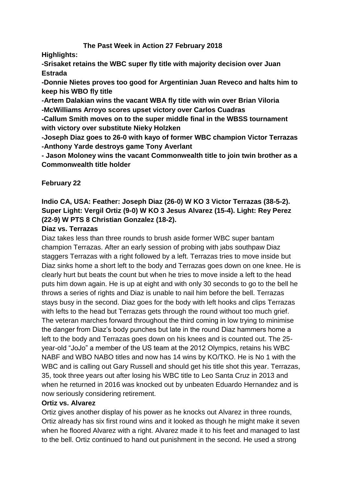# **The Past Week in Action 27 February 2018**

**Highlights:**

**-Srisaket retains the WBC super fly title with majority decision over Juan Estrada**

**-Donnie Nietes proves too good for Argentinian Juan Reveco and halts him to keep his WBO fly title**

**-Artem Dalakian wins the vacant WBA fly title with win over Brian Viloria -McWilliams Arroyo scores upset victory over Carlos Cuadras**

**-Callum Smith moves on to the super middle final in the WBSS tournament with victory over substitute Nieky Holzken**

**-Joseph Diaz goes to 26-0 with kayo of former WBC champion Victor Terrazas -Anthony Yarde destroys game Tony Averlant** 

**- Jason Moloney wins the vacant Commonwealth title to join twin brother as a Commonwealth title holder**

# **February 22**

# **Indio CA, USA: Feather: Joseph Diaz (26-0) W KO 3 Victor Terrazas (38-5-2). Super Light: Vergil Ortiz (9-0) W KO 3 Jesus Alvarez (15-4). Light: Rey Perez (22-9) W PTS 8 Christian Gonzalez (18-2).**

# **Diaz vs. Terrazas**

Diaz takes less than three rounds to brush aside former WBC super bantam champion Terrazas. After an early session of probing with jabs southpaw Diaz staggers Terrazas with a right followed by a left. Terrazas tries to move inside but Diaz sinks home a short left to the body and Terrazas goes down on one knee. He is clearly hurt but beats the count but when he tries to move inside a left to the head puts him down again. He is up at eight and with only 30 seconds to go to the bell he throws a series of rights and Diaz is unable to nail him before the bell. Terrazas stays busy in the second. Diaz goes for the body with left hooks and clips Terrazas with lefts to the head but Terrazas gets through the round without too much grief. The veteran marches forward throughout the third coming in low trying to minimise the danger from Diaz's body punches but late in the round Diaz hammers home a left to the body and Terrazas goes down on his knees and is counted out. The 25 year-old "JoJo" a member of the US team at the 2012 Olympics, retains his WBC NABF and WBO NABO titles and now has 14 wins by KO/TKO. He is No 1 with the WBC and is calling out Gary Russell and should get his title shot this year. Terrazas, 35, took three years out after losing his WBC title to Leo Santa Cruz in 2013 and when he returned in 2016 was knocked out by unbeaten Eduardo Hernandez and is now seriously considering retirement.

# **Ortiz vs. Alvarez**

Ortiz gives another display of his power as he knocks out Alvarez in three rounds, Ortiz already has six first round wins and it looked as though he might make it seven when he floored Alvarez with a right. Alvarez made it to his feet and managed to last to the bell. Ortiz continued to hand out punishment in the second. He used a strong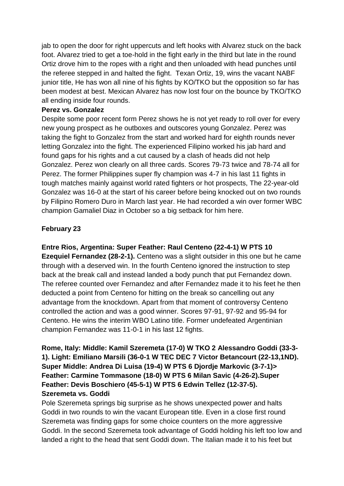jab to open the door for right uppercuts and left hooks with Alvarez stuck on the back foot. Alvarez tried to get a toe-hold in the fight early in the third but late in the round Ortiz drove him to the ropes with a right and then unloaded with head punches until the referee stepped in and halted the fight. Texan Ortiz, 19, wins the vacant NABF junior title, He has won all nine of his fights by KO/TKO but the opposition so far has been modest at best. Mexican Alvarez has now lost four on the bounce by TKO/TKO all ending inside four rounds.

### **Perez vs. Gonzalez**

Despite some poor recent form Perez shows he is not yet ready to roll over for every new young prospect as he outboxes and outscores young Gonzalez. Perez was taking the fight to Gonzalez from the start and worked hard for eighth rounds never letting Gonzalez into the fight. The experienced Filipino worked his jab hard and found gaps for his rights and a cut caused by a clash of heads did not help Gonzalez. Perez won clearly on all three cards. Scores 79-73 twice and 78-74 all for Perez. The former Philippines super fly champion was 4-7 in his last 11 fights in tough matches mainly against world rated fighters or hot prospects, The 22-year-old Gonzalez was 16-0 at the start of his career before being knocked out on two rounds by Filipino Romero Duro in March last year. He had recorded a win over former WBC champion Gamaliel Diaz in October so a big setback for him here.

# **February 23**

**Entre Rios, Argentina: Super Feather: Raul Centeno (22-4-1) W PTS 10** 

**Ezequiel Fernandez (28-2-1).** Centeno was a slight outsider in this one but he came through with a deserved win. In the fourth Centeno ignored the instruction to step back at the break call and instead landed a body punch that put Fernandez down. The referee counted over Fernandez and after Fernandez made it to his feet he then deducted a point from Centeno for hitting on the break so cancelling out any advantage from the knockdown. Apart from that moment of controversy Centeno controlled the action and was a good winner. Scores 97-91, 97-92 and 95-94 for Centeno. He wins the interim WBO Latino title. Former undefeated Argentinian champion Fernandez was 11-0-1 in his last 12 fights.

**Rome, Italy: Middle: Kamil Szeremeta (17-0) W TKO 2 Alessandro Goddi (33-3- 1). Light: Emiliano Marsili (36-0-1 W TEC DEC 7 Victor Betancourt (22-13,1ND). Super Middle: Andrea Di Luisa (19-4) W PTS 6 Djordje Markovic (3-7-1)> Feather: Carmine Tommasone (18-0) W PTS 6 Milan Savic (4-26-2).Super Feather: Devis Boschiero (45-5-1) W PTS 6 Edwin Tellez (12-37-5). Szeremeta vs. Goddi**

Pole Szeremeta springs big surprise as he shows unexpected power and halts Goddi in two rounds to win the vacant European title. Even in a close first round Szeremeta was finding gaps for some choice counters on the more aggressive Goddi. In the second Szeremeta took advantage of Goddi holding his left too low and landed a right to the head that sent Goddi down. The Italian made it to his feet but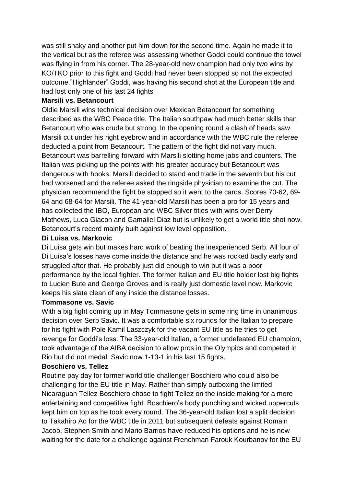was still shaky and another put him down for the second time. Again he made it to the vertical but as the referee was assessing whether Goddi could continue the towel was flying in from his corner. The 28-year-old new champion had only two wins by KO/TKO prior to this fight and Goddi had never been stopped so not the expected outcome."Highlander" Goddi, was having his second shot at the European title and had lost only one of his last 24 fights

### **Marsili vs. Betancourt**

Oldie Marsili wins technical decision over Mexican Betancourt for something described as the WBC Peace title. The Italian southpaw had much better skills than Betancourt who was crude but strong. In the opening round a clash of heads saw Marsili cut under his right eyebrow and in accordance with the WBC rule the referee deducted a point from Betancourt. The pattern of the fight did not vary much. Betancourt was barrelling forward with Marsili slotting home jabs and counters. The Italian was picking up the points with his greater accuracy but Betancourt was dangerous with hooks. Marsili decided to stand and trade in the seventh but his cut had worsened and the referee asked the ringside physician to examine the cut. The physician recommend the fight be stopped so it went to the cards. Scores 70-62, 69- 64 and 68-64 for Marsili. The 41-year-old Marsili has been a pro for 15 years and has collected the IBO, European and WBC Silver titles with wins over Derry Mathews, Luca Giacon and Gamaliel Diaz but is unlikely to get a world title shot now. Betancourt's record mainly built against low level opposition.

### **Di Luisa vs. Markovic**

Di Luisa gets win but makes hard work of beating the inexperienced Serb. All four of Di Luisa's losses have come inside the distance and he was rocked badly early and struggled after that. He probably just did enough to win but it was a poor performance by the local fighter. The former Italian and EU title holder lost big fights to Lucien Bute and George Groves and is really just domestic level now. Markovic keeps his slate clean of any inside the distance losses.

#### **Tommasone vs. Savic**

With a big fight coming up in May Tommasone gets in some ring time in unanimous decision over Serb Savic. It was a comfortable six rounds for the Italian to prepare for his fight with Pole Kamil Laszczyk for the vacant EU title as he tries to get revenge for Goddi's loss. The 33-year-old Italian, a former undefeated EU champion, took advantage of the AIBA decision to allow pros in the Olympics and competed in Rio but did not medal. Savic now 1-13-1 in his last 15 fights.

#### **Boschiero vs. Tellez**

Routine pay day for former world title challenger Boschiero who could also be challenging for the EU title in May. Rather than simply outboxing the limited Nicaraguan Tellez Boschiero chose to fight Tellez on the inside making for a more entertaining and competitive fight. Boschiero's body punching and wicked uppercuts kept him on top as he took every round. The 36-year-old Italian lost a split decision to Takahiro Ao for the WBC title in 2011 but subsequent defeats against Romain Jacob, Stephen Smith and Mario Barrios have reduced his options and he is now waiting for the date for a challenge against Frenchman Farouk Kourbanov for the EU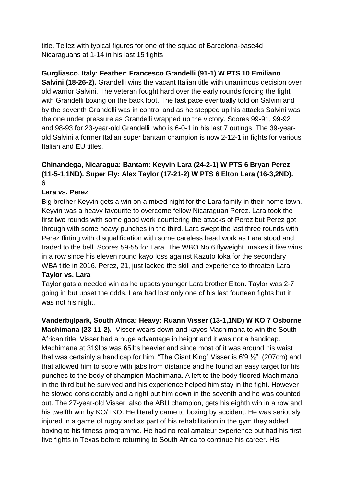title. Tellez with typical figures for one of the squad of Barcelona-base4d Nicaraguans at 1-14 in his last 15 fights

# **Gurgliasco. Italy: Feather: Francesco Grandelli (91-1) W PTS 10 Emiliano**

**Salvini (18-26-2).** Grandelli wins the vacant Italian title with unanimous decision over old warrior Salvini. The veteran fought hard over the early rounds forcing the fight with Grandelli boxing on the back foot. The fast pace eventually told on Salvini and by the seventh Grandelli was in control and as he stepped up his attacks Salvini was the one under pressure as Grandelli wrapped up the victory. Scores 99-91, 99-92 and 98-93 for 23-year-old Grandelli who is 6-0-1 in his last 7 outings. The 39-yearold Salvini a former Italian super bantam champion is now 2-12-1 in fights for various Italian and EU titles.

# **Chinandega, Nicaragua: Bantam: Keyvin Lara (24-2-1) W PTS 6 Bryan Perez (11-5-1,1ND). Super Fly: Alex Taylor (17-21-2) W PTS 6 Elton Lara (16-3,2ND).** 6

# **Lara vs. Perez**

Big brother Keyvin gets a win on a mixed night for the Lara family in their home town. Keyvin was a heavy favourite to overcome fellow Nicaraguan Perez. Lara took the first two rounds with some good work countering the attacks of Perez but Perez got through with some heavy punches in the third. Lara swept the last three rounds with Perez flirting with disqualification with some careless head work as Lara stood and traded to the bell. Scores 59-55 for Lara. The WBO No 6 flyweight makes it five wins in a row since his eleven round kayo loss against Kazuto Ioka for the secondary WBA title in 2016. Perez, 21, just lacked the skill and experience to threaten Lara.

# **Taylor vs. Lara**

Taylor gats a needed win as he upsets younger Lara brother Elton. Taylor was 2-7 going in but upset the odds. Lara had lost only one of his last fourteen fights but it was not his night.

**Vanderbijlpark, South Africa: Heavy: Ruann Visser (13-1,1ND) W KO 7 Osborne Machimana (23-11-2).** Visser wears down and kayos Machimana to win the South African title. Visser had a huge advantage in height and it was not a handicap. Machimana at 319lbs was 65lbs heavier and since most of it was around his waist that was certainly a handicap for him. "The Giant King" Visser is 6'9 ½" (207cm) and that allowed him to score with jabs from distance and he found an easy target for his punches to the body of champion Machimana. A left to the body floored Machimana in the third but he survived and his experience helped him stay in the fight. However he slowed considerably and a right put him down in the seventh and he was counted out. The 27-year-old Visser, also the ABU champion, gets his eighth win in a row and his twelfth win by KO/TKO. He literally came to boxing by accident. He was seriously injured in a game of rugby and as part of his rehabilitation in the gym they added boxing to his fitness programme. He had no real amateur experience but had his first five fights in Texas before returning to South Africa to continue his career. His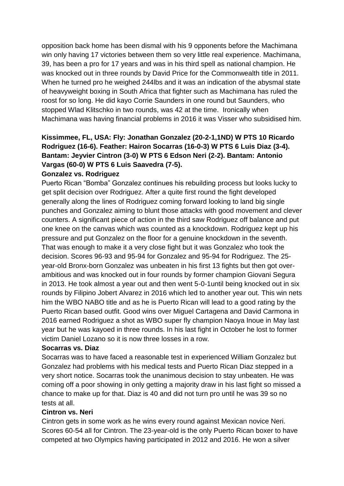opposition back home has been dismal with his 9 opponents before the Machimana win only having 17 victories between them so very little real experience. Machimana, 39, has been a pro for 17 years and was in his third spell as national champion. He was knocked out in three rounds by David Price for the Commonwealth title in 2011. When he turned pro he weighed 244lbs and it was an indication of the abysmal state of heavyweight boxing in South Africa that fighter such as Machimana has ruled the roost for so long. He did kayo Corrie Saunders in one round but Saunders, who stopped Wlad Klitschko in two rounds, was 42 at the time. Ironically when Machimana was having financial problems in 2016 it was Visser who subsidised him.

# **Kissimmee, FL, USA: Fly: Jonathan Gonzalez (20-2-1,1ND) W PTS 10 Ricardo Rodriguez (16-6). Feather: Hairon Socarras (16-0-3) W PTS 6 Luis Diaz (3-4). Bantam: Jeyvier Cintron (3-0) W PTS 6 Edson Neri (2-2). Bantam: Antonio Vargas (60-0) W PTS 6 Luis Saavedra (7-5).**

# **Gonzalez vs. Rodriguez**

Puerto Rican "Bomba" Gonzalez continues his rebuilding process but looks lucky to get split decision over Rodriguez. After a quite first round the fight developed generally along the lines of Rodriguez coming forward looking to land big single punches and Gonzalez aiming to blunt those attacks with good movement and clever counters. A significant piece of action in the third saw Rodriguez off balance and put one knee on the canvas which was counted as a knockdown. Rodriguez kept up his pressure and put Gonzalez on the floor for a genuine knockdown in the seventh. That was enough to make it a very close fight but it was Gonzalez who took the decision. Scores 96-93 and 95-94 for Gonzalez and 95-94 for Rodriguez. The 25 year-old Bronx-born Gonzalez was unbeaten in his first 13 fights but then got overambitious and was knocked out in four rounds by former champion Giovani Segura in 2013. He took almost a year out and then went 5-0-1until being knocked out in six rounds by Filipino Jobert Alvarez in 2016 which led to another year out. This win nets him the WBO NABO title and as he is Puerto Rican will lead to a good rating by the Puerto Rican based outfit. Good wins over Miguel Cartagena and David Carmona in 2016 earned Rodriguez a shot as WBO super fly champion Naoya Inoue in May last year but he was kayoed in three rounds. In his last fight in October he lost to former victim Daniel Lozano so it is now three losses in a row.

# **Socarras vs. Diaz**

Socarras was to have faced a reasonable test in experienced William Gonzalez but Gonzalez had problems with his medical tests and Puerto Rican Diaz stepped in a very short notice. Socarras took the unanimous decision to stay unbeaten. He was coming off a poor showing in only getting a majority draw in his last fight so missed a chance to make up for that. Diaz is 40 and did not turn pro until he was 39 so no tests at all.

#### **Cintron vs. Neri**

Cintron gets in some work as he wins every round against Mexican novice Neri. Scores 60-54 all for Cintron. The 23-year-old is the only Puerto Rican boxer to have competed at two Olympics having participated in 2012 and 2016. He won a silver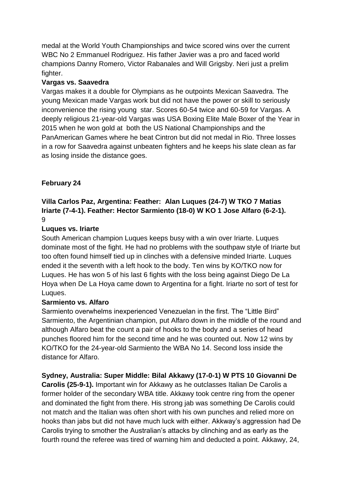medal at the World Youth Championships and twice scored wins over the current WBC No 2 Emmanuel Rodriguez. His father Javier was a pro and faced world champions Danny Romero, Victor Rabanales and Will Grigsby. Neri just a prelim fighter.

# **Vargas vs. Saavedra**

Vargas makes it a double for Olympians as he outpoints Mexican Saavedra. The young Mexican made Vargas work but did not have the power or skill to seriously inconvenience the rising young star. Scores 60-54 twice and 60-59 for Vargas. A deeply religious 21-year-old Vargas was USA Boxing Elite Male Boxer of the Year in 2015 when he won gold at both the US National Championships and the PanAmerican Games where he beat Cintron but did not medal in Rio. Three losses in a row for Saavedra against unbeaten fighters and he keeps his slate clean as far as losing inside the distance goes.

# **February 24**

# **Villa Carlos Paz, Argentina: Feather: Alan Luques (24-7) W TKO 7 Matias Iriarte (7-4-1). Feather: Hector Sarmiento (18-0) W KO 1 Jose Alfaro (6-2-1).** 9

# **Luques vs. Iriarte**

South American champion Luques keeps busy with a win over Iriarte. Luques dominate most of the fight. He had no problems with the southpaw style of Iriarte but too often found himself tied up in clinches with a defensive minded Iriarte. Luques ended it the seventh with a left hook to the body. Ten wins by KO/TKO now for Luques. He has won 5 of his last 6 fights with the loss being against Diego De La Hoya when De La Hoya came down to Argentina for a fight. Iriarte no sort of test for Luques.

# **Sarmiento vs. Alfaro**

Sarmiento overwhelms inexperienced Venezuelan in the first. The "Little Bird" Sarmiento, the Argentinian champion, put Alfaro down in the middle of the round and although Alfaro beat the count a pair of hooks to the body and a series of head punches floored him for the second time and he was counted out. Now 12 wins by KO/TKO for the 24-year-old Sarmiento the WBA No 14. Second loss inside the distance for Alfaro.

**Sydney, Australia: Super Middle: Bilal Akkawy (17-0-1) W PTS 10 Giovanni De** 

**Carolis (25-9-1).** Important win for Akkawy as he outclasses Italian De Carolis a former holder of the secondary WBA title. Akkawy took centre ring from the opener and dominated the fight from there. His strong jab was something De Carolis could not match and the Italian was often short with his own punches and relied more on hooks than jabs but did not have much luck with either. Akkway's aggression had De Carolis trying to smother the Australian's attacks by clinching and as early as the fourth round the referee was tired of warning him and deducted a point. Akkawy, 24,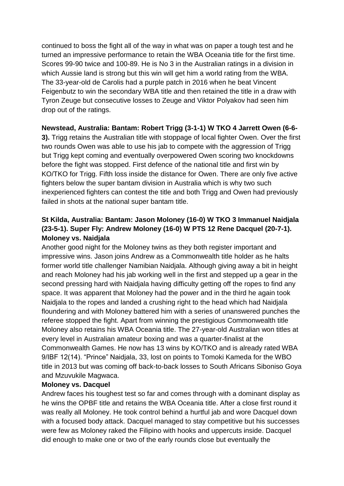continued to boss the fight all of the way in what was on paper a tough test and he turned an impressive performance to retain the WBA Oceania title for the first time. Scores 99-90 twice and 100-89. He is No 3 in the Australian ratings in a division in which Aussie land is strong but this win will get him a world rating from the WBA. The 33-year-old de Carolis had a purple patch in 2016 when he beat Vincent Feigenbutz to win the secondary WBA title and then retained the title in a draw with Tyron Zeuge but consecutive losses to Zeuge and Viktor Polyakov had seen him drop out of the ratings.

# **Newstead, Australia: Bantam: Robert Trigg (3-1-1) W TKO 4 Jarrett Owen (6-6-**

**3).** Trigg retains the Australian title with stoppage of local fighter Owen. Over the first two rounds Owen was able to use his jab to compete with the aggression of Trigg but Trigg kept coming and eventually overpowered Owen scoring two knockdowns before the fight was stopped. First defence of the national title and first win by KO/TKO for Trigg. Fifth loss inside the distance for Owen. There are only five active fighters below the super bantam division in Australia which is why two such inexperienced fighters can contest the title and both Trigg and Owen had previously failed in shots at the national super bantam title.

# **St Kilda, Australia: Bantam: Jason Moloney (16-0) W TKO 3 Immanuel Naidjala (23-5-1). Super Fly: Andrew Moloney (16-0) W PTS 12 Rene Dacquel (20-7-1). Moloney vs. Naidjala**

Another good night for the Moloney twins as they both register important and impressive wins. Jason joins Andrew as a Commonwealth title holder as he halts former world title challenger Namibian Naidjala. Although giving away a bit in height and reach Moloney had his jab working well in the first and stepped up a gear in the second pressing hard with Naidjala having difficulty getting off the ropes to find any space. It was apparent that Moloney had the power and in the third he again took Naidjala to the ropes and landed a crushing right to the head which had Naidjala floundering and with Moloney battered him with a series of unanswered punches the referee stopped the fight. Apart from winning the prestigious Commonwealth title Moloney also retains his WBA Oceania title. The 27-year-old Australian won titles at every level in Australian amateur boxing and was a quarter-finalist at the Commonwealth Games. He now has 13 wins by KO/TKO and is already rated WBA 9/IBF 12(14). "Prince" Naidjala, 33, lost on points to Tomoki Kameda for the WBO title in 2013 but was coming off back-to-back losses to South Africans Siboniso Goya and Mzuvukile Magwaca.

# **Moloney vs. Dacquel**

Andrew faces his toughest test so far and comes through with a dominant display as he wins the OPBF title and retains the WBA Oceania title. After a close first round it was really all Moloney. He took control behind a hurtful jab and wore Dacquel down with a focused body attack. Dacquel managed to stay competitive but his successes were few as Moloney raked the Filipino with hooks and uppercuts inside. Dacquel did enough to make one or two of the early rounds close but eventually the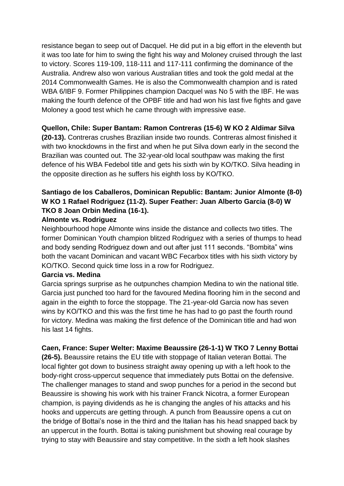resistance began to seep out of Dacquel. He did put in a big effort in the eleventh but it was too late for him to swing the fight his way and Moloney cruised through the last to victory. Scores 119-109, 118-111 and 117-111 confirming the dominance of the Australia. Andrew also won various Australian titles and took the gold medal at the 2014 Commonwealth Games. He is also the Commonwealth champion and is rated WBA 6/IBF 9. Former Philippines champion Dacquel was No 5 with the IBF. He was making the fourth defence of the OPBF title and had won his last five fights and gave Moloney a good test which he came through with impressive ease.

# **Quellon, Chile: Super Bantam: Ramon Contreras (15-6) W KO 2 Aldimar Silva**

**(20-13).** Contreras crushes Brazilian inside two rounds. Contreras almost finished it with two knockdowns in the first and when he put Silva down early in the second the Brazilian was counted out. The 32-year-old local southpaw was making the first defence of his WBA Fedebol title and gets his sixth win by KO/TKO. Silva heading in the opposite direction as he suffers his eighth loss by KO/TKO.

# **Santiago de los Caballeros, Dominican Republic: Bantam: Junior Almonte (8-0) W KO 1 Rafael Rodriguez (11-2). Super Feather: Juan Alberto Garcia (8-0) W TKO 8 Joan Orbin Medina (16-1).**

### **Almonte vs. Rodriguez**

Neighbourhood hope Almonte wins inside the distance and collects two titles. The former Dominican Youth champion blitzed Rodriguez with a series of thumps to head and body sending Rodriguez down and out after just 111 seconds. "Bombita" wins both the vacant Dominican and vacant WBC Fecarbox titles with his sixth victory by KO/TKO. Second quick time loss in a row for Rodriguez.

#### **Garcia vs. Medina**

Garcia springs surprise as he outpunches champion Medina to win the national title. Garcia just punched too hard for the favoured Medina flooring him in the second and again in the eighth to force the stoppage. The 21-year-old Garcia now has seven wins by KO/TKO and this was the first time he has had to go past the fourth round for victory. Medina was making the first defence of the Dominican title and had won his last 14 fights.

# **Caen, France: Super Welter: Maxime Beaussire (26-1-1) W TKO 7 Lenny Bottai**

**(26-5).** Beaussire retains the EU title with stoppage of Italian veteran Bottai. The local fighter got down to business straight away opening up with a left hook to the body-right cross-uppercut sequence that immediately puts Bottai on the defensive. The challenger manages to stand and swop punches for a period in the second but Beaussire is showing his work with his trainer Franck Nicotra, a former European champion, is paying dividends as he is changing the angles of his attacks and his hooks and uppercuts are getting through. A punch from Beaussire opens a cut on the bridge of Bottai's nose in the third and the Italian has his head snapped back by an uppercut in the fourth. Bottai is taking punishment but showing real courage by trying to stay with Beaussire and stay competitive. In the sixth a left hook slashes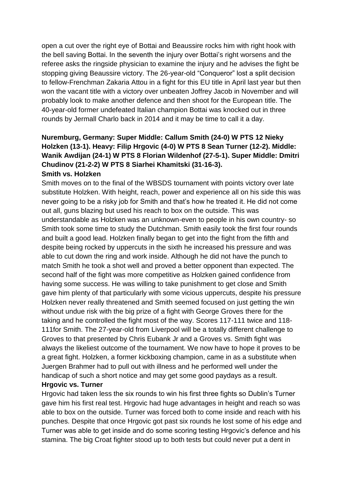open a cut over the right eye of Bottai and Beaussire rocks him with right hook with the bell saving Bottai. In the seventh the injury over Bottai's right worsens and the referee asks the ringside physician to examine the injury and he advises the fight be stopping giving Beaussire victory. The 26-year-old "Conqueror" lost a split decision to fellow-Frenchman Zakaria Attou in a fight for this EU title in April last year but then won the vacant title with a victory over unbeaten Joffrey Jacob in November and will probably look to make another defence and then shoot for the European title. The 40-year-old former undefeated Italian champion Bottai was knocked out in three rounds by Jermall Charlo back in 2014 and it may be time to call it a day.

# **Nuremburg, Germany: Super Middle: Callum Smith (24-0) W PTS 12 Nieky Holzken (13-1). Heavy: Filip Hrgovic (4-0) W PTS 8 Sean Turner (12-2). Middle: Wanik Awdijan (24-1) W PTS 8 Florian Wildenhof (27-5-1). Super Middle: Dmitri Chudinov (21-2-2) W PTS 8 Siarhei Khamitski (31-16-3). Smith vs. Holzken**

Smith moves on to the final of the WBSDS tournament with points victory over late substitute Holzken. With height, reach, power and experience all on his side this was never going to be a risky job for Smith and that's how he treated it. He did not come out all, guns blazing but used his reach to box on the outside. This was understandable as Holzken was an unknown-even to people in his own country- so Smith took some time to study the Dutchman. Smith easily took the first four rounds and built a good lead. Holzken finally began to get into the fight from the fifth and despite being rocked by uppercuts in the sixth he increased his pressure and was able to cut down the ring and work inside. Although he did not have the punch to match Smith he took a shot well and proved a better opponent than expected. The second half of the fight was more competitive as Holzken gained confidence from having some success. He was willing to take punishment to get close and Smith gave him plenty of that particularly with some vicious uppercuts, despite his pressure Holzken never really threatened and Smith seemed focused on just getting the win without undue risk with the big prize of a fight with George Groves there for the taking and he controlled the fight most of the way. Scores 117-111 twice and 118- 111for Smith. The 27-year-old from Liverpool will be a totally different challenge to Groves to that presented by Chris Eubank Jr and a Groves vs. Smith fight was always the likeliest outcome of the tournament. We now have to hope it proves to be a great fight. Holzken, a former kickboxing champion, came in as a substitute when Juergen Brahmer had to pull out with illness and he performed well under the handicap of such a short notice and may get some good paydays as a result.

#### **Hrgovic vs. Turner**

Hrgovic had taken less the six rounds to win his first three fights so Dublin's Turner gave him his first real test. Hrgovic had huge advantages in height and reach so was able to box on the outside. Turner was forced both to come inside and reach with his punches. Despite that once Hrgovic got past six rounds he lost some of his edge and Turner was able to get inside and do some scoring testing Hrgovic's defence and his stamina. The big Croat fighter stood up to both tests but could never put a dent in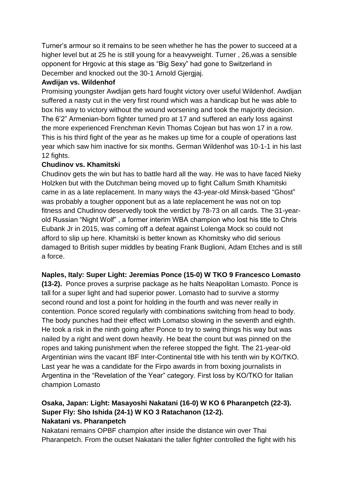Turner's armour so it remains to be seen whether he has the power to succeed at a higher level but at 25 he is still young for a heavyweight. Turner , 26,was a sensible opponent for Hrgovic at this stage as "Big Sexy" had gone to Switzerland in December and knocked out the 30-1 Arnold Gjergjaj.

# **Awdijan vs. Wildenhof**

Promising youngster Awdijan gets hard fought victory over useful Wildenhof. Awdijan suffered a nasty cut in the very first round which was a handicap but he was able to box his way to victory without the wound worsening and took the majority decision. The 6'2" Armenian-born fighter turned pro at 17 and suffered an early loss against the more experienced Frenchman Kevin Thomas Cojean but has won 17 in a row. This is his third fight of the year as he makes up time for a couple of operations last year which saw him inactive for six months. German Wildenhof was 10-1-1 in his last 12 fights.

# **Chudinov vs. Khamitski**

Chudinov gets the win but has to battle hard all the way. He was to have faced Nieky Holzken but with the Dutchman being moved up to fight Callum Smith Khamitski came in as a late replacement. In many ways the 43-year-old Minsk-based "Ghost" was probably a tougher opponent but as a late replacement he was not on top fitness and Chudinov deservedly took the verdict by 78-73 on all cards. The 31-yearold Russian "Night Wolf" , a former interim WBA champion who lost his title to Chris Eubank Jr in 2015, was coming off a defeat against Lolenga Mock so could not afford to slip up here. Khamitski is better known as Khomitsky who did serious damaged to British super middles by beating Frank Buglioni, Adam Etches and is still a force.

# **Naples, Italy: Super Light: Jeremias Ponce (15-0) W TKO 9 Francesco Lomasto**

**(13-2).** Ponce proves a surprise package as he halts Neapolitan Lomasto. Ponce is tall for a super light and had superior power. Lomasto had to survive a stormy second round and lost a point for holding in the fourth and was never really in contention. Ponce scored regularly with combinations switching from head to body. The body punches had their effect with Lomatso slowing in the seventh and eighth. He took a risk in the ninth going after Ponce to try to swing things his way but was nailed by a right and went down heavily. He beat the count but was pinned on the ropes and taking punishment when the referee stopped the fight. The 21-year-old Argentinian wins the vacant IBF Inter-Continental title with his tenth win by KO/TKO. Last year he was a candidate for the Firpo awards in from boxing journalists in Argentina in the "Revelation of the Year" category. First loss by KO/TKO for Italian champion Lomasto

# **Osaka, Japan: Light: Masayoshi Nakatani (16-0) W KO 6 Pharanpetch (22-3). Super Fly: Sho Ishida (24-1) W KO 3 Ratachanon (12-2). Nakatani vs. Pharanpetch**

Nakatani remains OPBF champion after inside the distance win over Thai Pharanpetch. From the outset Nakatani the taller fighter controlled the fight with his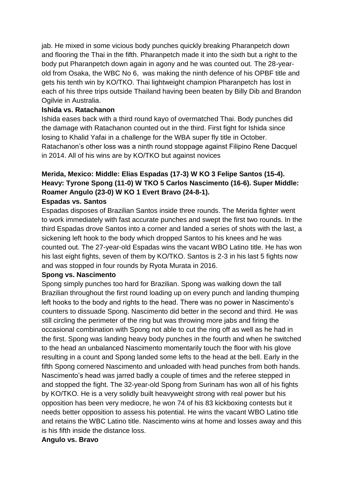jab. He mixed in some vicious body punches quickly breaking Pharanpetch down and flooring the Thai in the fifth. Pharanpetch made it into the sixth but a right to the body put Pharanpetch down again in agony and he was counted out. The 28-yearold from Osaka, the WBC No 6, was making the ninth defence of his OPBF title and gets his tenth win by KO/TKO. Thai lightweight champion Pharanpetch has lost in each of his three trips outside Thailand having been beaten by Billy Dib and Brandon Ogilvie in Australia.

### **Ishida vs. Ratachanon**

Ishida eases back with a third round kayo of overmatched Thai. Body punches did the damage with Ratachanon counted out in the third. First fight for Ishida since losing to Khalid Yafai in a challenge for the WBA super fly title in October. Ratachanon's other loss was a ninth round stoppage against Filipino Rene Dacquel in 2014. All of his wins are by KO/TKO but against novices

# **Merida, Mexico: Middle: Elias Espadas (17-3) W KO 3 Felipe Santos (15-4). Heavy: Tyrone Spong (11-0) W TKO 5 Carlos Nascimento (16-6). Super Middle: Roamer Angulo (23-0) W KO 1 Evert Bravo (24-8-1).**

# **Espadas vs. Santos**

Espadas disposes of Brazilian Santos inside three rounds. The Merida fighter went to work immediately with fast accurate punches and swept the first two rounds. In the third Espadas drove Santos into a corner and landed a series of shots with the last, a sickening left hook to the body which dropped Santos to his knees and he was counted out. The 27-year-old Espadas wins the vacant WBO Latino title. He has won his last eight fights, seven of them by KO/TKO. Santos is 2-3 in his last 5 fights now and was stopped in four rounds by Ryota Murata in 2016.

#### **Spong vs. Nascimento**

Spong simply punches too hard for Brazilian. Spong was walking down the tall Brazilian throughout the first round loading up on every punch and landing thumping left hooks to the body and rights to the head. There was no power in Nascimento's counters to dissuade Spong. Nascimento did better in the second and third. He was still circling the perimeter of the ring but was throwing more jabs and firing the occasional combination with Spong not able to cut the ring off as well as he had in the first. Spong was landing heavy body punches in the fourth and when he switched to the head an unbalanced Nascimento momentarily touch the floor with his glove resulting in a count and Spong landed some lefts to the head at the bell. Early in the fifth Spong cornered Nascimento and unloaded with head punches from both hands. Nascimento's head was jarred badly a couple of times and the referee stepped in and stopped the fight. The 32-year-old Spong from Surinam has won all of his fights by KO/TKO. He is a very solidly built heavyweight strong with real power but his opposition has been very mediocre, he won 74 of his 83 kickboxing contests but it needs better opposition to assess his potential. He wins the vacant WBO Latino title and retains the WBC Latino title. Nascimento wins at home and losses away and this is his fifth inside the distance loss.

#### **Angulo vs. Bravo**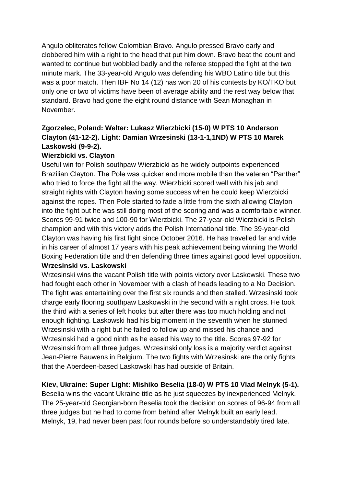Angulo obliterates fellow Colombian Bravo. Angulo pressed Bravo early and clobbered him with a right to the head that put him down. Bravo beat the count and wanted to continue but wobbled badly and the referee stopped the fight at the two minute mark. The 33-year-old Angulo was defending his WBO Latino title but this was a poor match. Then IBF No 14 (12) has won 20 of his contests by KO/TKO but only one or two of victims have been of average ability and the rest way below that standard. Bravo had gone the eight round distance with Sean Monaghan in November.

# **Zgorzelec, Poland: Welter: Lukasz Wierzbicki (15-0) W PTS 10 Anderson Clayton (41-12-2). Light: Damian Wrzesinski (13-1-1,1ND) W PTS 10 Marek Laskowski (9-9-2).**

# **Wierzbicki vs. Clayton**

Useful win for Polish southpaw Wierzbicki as he widely outpoints experienced Brazilian Clayton. The Pole was quicker and more mobile than the veteran "Panther" who tried to force the fight all the way. Wierzbicki scored well with his jab and straight rights with Clayton having some success when he could keep Wierzbicki against the ropes. Then Pole started to fade a little from the sixth allowing Clayton into the fight but he was still doing most of the scoring and was a comfortable winner. Scores 99-91 twice and 100-90 for Wierzbicki. The 27-year-old Wierzbicki is Polish champion and with this victory adds the Polish International title. The 39-year-old Clayton was having his first fight since October 2016. He has travelled far and wide in his career of almost 17 years with his peak achievement being winning the World Boxing Federation title and then defending three times against good level opposition.

# **Wrzesinski vs. Laskowski**

Wrzesinski wins the vacant Polish title with points victory over Laskowski. These two had fought each other in November with a clash of heads leading to a No Decision. The fight was entertaining over the first six rounds and then stalled. Wrzesinski took charge early flooring southpaw Laskowski in the second with a right cross. He took the third with a series of left hooks but after there was too much holding and not enough fighting. Laskowski had his big moment in the seventh when he stunned Wrzesinski with a right but he failed to follow up and missed his chance and Wrzesinski had a good ninth as he eased his way to the title. Scores 97-92 for Wrzesinski from all three judges. Wrzesinski only loss is a majority verdict against Jean-Pierre Bauwens in Belgium. The two fights with Wrzesinski are the only fights that the Aberdeen-based Laskowski has had outside of Britain.

# **Kiev, Ukraine: Super Light: Mishiko Beselia (18-0) W PTS 10 Vlad Melnyk (5-1).**

Beselia wins the vacant Ukraine title as he just squeezes by inexperienced Melnyk. The 25-year-old Georgian-born Beselia took the decision on scores of 96-94 from all three judges but he had to come from behind after Melnyk built an early lead. Melnyk, 19, had never been past four rounds before so understandably tired late.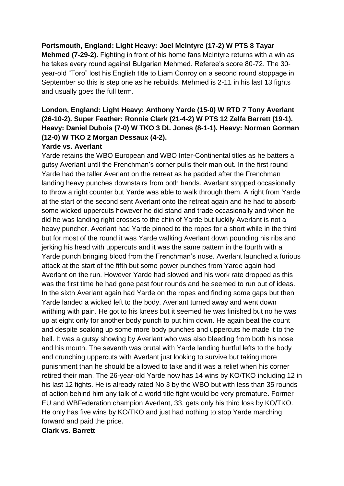# **Portsmouth, England: Light Heavy: Joel McIntyre (17-2) W PTS 8 Tayar**

**Mehmed (7-29-2).** Fighting in front of his home fans McIntyre returns with a win as he takes every round against Bulgarian Mehmed. Referee's score 80-72. The 30 year-old "Toro" lost his English title to Liam Conroy on a second round stoppage in September so this is step one as he rebuilds. Mehmed is 2-11 in his last 13 fights and usually goes the full term.

# **London, England: Light Heavy: Anthony Yarde (15-0) W RTD 7 Tony Averlant (26-10-2). Super Feather: Ronnie Clark (21-4-2) W PTS 12 Zelfa Barrett (19-1). Heavy: Daniel Dubois (7-0) W TKO 3 DL Jones (8-1-1). Heavy: Norman Gorman (12-0) W TKO 2 Morgan Dessaux (4-2).**

#### **Yarde vs. Averlant**

Yarde retains the WBO European and WBO Inter-Continental titles as he batters a gutsy Averlant until the Frenchman's corner pulls their man out. In the first round Yarde had the taller Averlant on the retreat as he padded after the Frenchman landing heavy punches downstairs from both hands. Averlant stopped occasionally to throw a right counter but Yarde was able to walk through them. A right from Yarde at the start of the second sent Averlant onto the retreat again and he had to absorb some wicked uppercuts however he did stand and trade occasionally and when he did he was landing right crosses to the chin of Yarde but luckily Averlant is not a heavy puncher. Averlant had Yarde pinned to the ropes for a short while in the third but for most of the round it was Yarde walking Averlant down pounding his ribs and jerking his head with uppercuts and it was the same pattern in the fourth with a Yarde punch bringing blood from the Frenchman's nose. Averlant launched a furious attack at the start of the fifth but some power punches from Yarde again had Averlant on the run. However Yarde had slowed and his work rate dropped as this was the first time he had gone past four rounds and he seemed to run out of ideas. In the sixth Averlant again had Yarde on the ropes and finding some gaps but then Yarde landed a wicked left to the body. Averlant turned away and went down writhing with pain. He got to his knees but it seemed he was finished but no he was up at eight only for another body punch to put him down. He again beat the count and despite soaking up some more body punches and uppercuts he made it to the bell. It was a gutsy showing by Averlant who was also bleeding from both his nose and his mouth. The seventh was brutal with Yarde landing hurtful lefts to the body and crunching uppercuts with Averlant just looking to survive but taking more punishment than he should be allowed to take and it was a relief when his corner retired their man. The 26-year-old Yarde now has 14 wins by KO/TKO including 12 in his last 12 fights. He is already rated No 3 by the WBO but with less than 35 rounds of action behind him any talk of a world title fight would be very premature. Former EU and WBFederation champion Averlant, 33, gets only his third loss by KO/TKO. He only has five wins by KO/TKO and just had nothing to stop Yarde marching forward and paid the price.

#### **Clark vs. Barrett**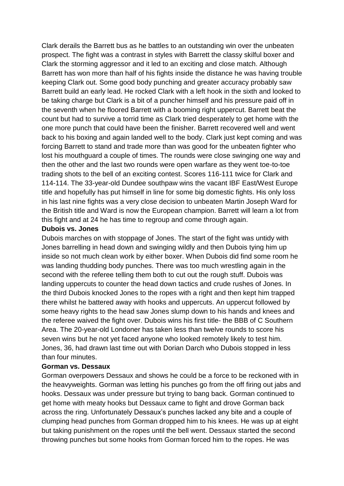Clark derails the Barrett bus as he battles to an outstanding win over the unbeaten prospect. The fight was a contrast in styles with Barrett the classy skilful boxer and Clark the storming aggressor and it led to an exciting and close match. Although Barrett has won more than half of his fights inside the distance he was having trouble keeping Clark out. Some good body punching and greater accuracy probably saw Barrett build an early lead. He rocked Clark with a left hook in the sixth and looked to be taking charge but Clark is a bit of a puncher himself and his pressure paid off in the seventh when he floored Barrett with a booming right uppercut. Barrett beat the count but had to survive a torrid time as Clark tried desperately to get home with the one more punch that could have been the finisher. Barrett recovered well and went back to his boxing and again landed well to the body. Clark just kept coming and was forcing Barrett to stand and trade more than was good for the unbeaten fighter who lost his mouthguard a couple of times. The rounds were close swinging one way and then the other and the last two rounds were open warfare as they went toe-to-toe trading shots to the bell of an exciting contest. Scores 116-111 twice for Clark and 114-114. The 33-year-old Dundee southpaw wins the vacant IBF East/West Europe title and hopefully has put himself in line for some big domestic fights. His only loss in his last nine fights was a very close decision to unbeaten Martin Joseph Ward for the British title and Ward is now the European champion. Barrett will learn a lot from this fight and at 24 he has time to regroup and come through again.

#### **Dubois vs. Jones**

Dubois marches on with stoppage of Jones. The start of the fight was untidy with Jones barrelling in head down and swinging wildly and then Dubois tying him up inside so not much clean work by either boxer. When Dubois did find some room he was landing thudding body punches. There was too much wrestling again in the second with the referee telling them both to cut out the rough stuff. Dubois was landing uppercuts to counter the head down tactics and crude rushes of Jones. In the third Dubois knocked Jones to the ropes with a right and then kept him trapped there whilst he battered away with hooks and uppercuts. An uppercut followed by some heavy rights to the head saw Jones slump down to his hands and knees and the referee waived the fight over. Dubois wins his first title- the BBB of C Southern Area. The 20-year-old Londoner has taken less than twelve rounds to score his seven wins but he not yet faced anyone who looked remotely likely to test him. Jones, 36, had drawn last time out with Dorian Darch who Dubois stopped in less than four minutes.

#### **Gorman vs. Dessaux**

Gorman overpowers Dessaux and shows he could be a force to be reckoned with in the heavyweights. Gorman was letting his punches go from the off firing out jabs and hooks. Dessaux was under pressure but trying to bang back. Gorman continued to get home with meaty hooks but Dessaux came to fight and drove Gorman back across the ring. Unfortunately Dessaux's punches lacked any bite and a couple of clumping head punches from Gorman dropped him to his knees. He was up at eight but taking punishment on the ropes until the bell went. Dessaux started the second throwing punches but some hooks from Gorman forced him to the ropes. He was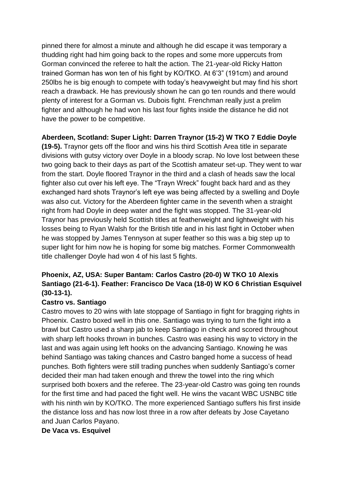pinned there for almost a minute and although he did escape it was temporary a thudding right had him going back to the ropes and some more uppercuts from Gorman convinced the referee to halt the action. The 21-year-old Ricky Hatton trained Gorman has won ten of his fight by KO/TKO. At 6'3" (191cm) and around 250lbs he is big enough to compete with today's heavyweight but may find his short reach a drawback. He has previously shown he can go ten rounds and there would plenty of interest for a Gorman vs. Dubois fight. Frenchman really just a prelim fighter and although he had won his last four fights inside the distance he did not have the power to be competitive.

**Aberdeen, Scotland: Super Light: Darren Traynor (15-2) W TKO 7 Eddie Doyle** 

**(19-5).** Traynor gets off the floor and wins his third Scottish Area title in separate divisions with gutsy victory over Doyle in a bloody scrap. No love lost between these two going back to their days as part of the Scottish amateur set-up. They went to war from the start. Doyle floored Traynor in the third and a clash of heads saw the local fighter also cut over his left eye. The "Trayn Wreck" fought back hard and as they exchanged hard shots Traynor's left eye was being affected by a swelling and Doyle was also cut. Victory for the Aberdeen fighter came in the seventh when a straight right from had Doyle in deep water and the fight was stopped. The 31-year-old Traynor has previously held Scottish titles at featherweight and lightweight with his losses being to Ryan Walsh for the British title and in his last fight in October when he was stopped by James Tennyson at super feather so this was a big step up to super light for him now he is hoping for some big matches. Former Commonwealth title challenger Doyle had won 4 of his last 5 fights.

# **Phoenix, AZ, USA: Super Bantam: Carlos Castro (20-0) W TKO 10 Alexis Santiago (21-6-1). Feather: Francisco De Vaca (18-0) W KO 6 Christian Esquivel (30-13-1).**

# **Castro vs. Santiago**

Castro moves to 20 wins with late stoppage of Santiago in fight for bragging rights in Phoenix. Castro boxed well in this one. Santiago was trying to turn the fight into a brawl but Castro used a sharp jab to keep Santiago in check and scored throughout with sharp left hooks thrown in bunches. Castro was easing his way to victory in the last and was again using left hooks on the advancing Santiago. Knowing he was behind Santiago was taking chances and Castro banged home a success of head punches. Both fighters were still trading punches when suddenly Santiago's corner decided their man had taken enough and threw the towel into the ring which surprised both boxers and the referee. The 23-year-old Castro was going ten rounds for the first time and had paced the fight well. He wins the vacant WBC USNBC title with his ninth win by KO/TKO. The more experienced Santiago suffers his first inside the distance loss and has now lost three in a row after defeats by Jose Cayetano and Juan Carlos Payano.

#### **De Vaca vs. Esquivel**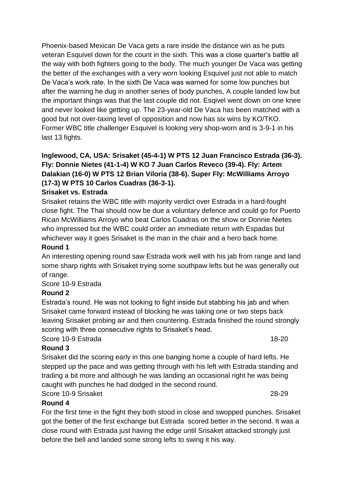Phoenix-based Mexican De Vaca gets a rare inside the distance win as he puts veteran Esquivel down for the count in the sixth. This was a close quarter's battle all the way with both fighters going to the body. The much younger De Vaca was getting the better of the exchanges with a very worn looking Esquivel just not able to match De Vaca's work rate. In the sixth De Vaca was warned for some low punches but after the warning he dug in another series of body punches, A couple landed low but the important things was that the last couple did not. Esqivel went down on one knee and never looked like getting up. The 23-year-old De Vaca has been matched with a good but not over-taxing level of opposition and now has six wins by KO/TKO. Former WBC title challenger Esquivel is looking very shop-worn and is 3-9-1 in his last 13 fights.

# **Inglewood, CA, USA: Srisaket (45-4-1) W PTS 12 Juan Francisco Estrada (36-3). Fly: Donnie Nietes (41-1-4) W KO 7 Juan Carlos Reveco (39-4). Fly: Artem Dalakian (16-0) W PTS 12 Brian Viloria (38-6). Super Fly: McWilliams Arroyo (17-3) W PTS 10 Carlos Cuadras (36-3-1).**

# **Srisaket vs. Estrada**

Srisaket retains the WBC title with majority verdict over Estrada in a hard-fought close fight. The Thai should now be due a voluntary defence and could go for Puerto Rican McWilliams Arroyo who beat Carlos Cuadras on the show or Donnie Nietes who impressed but the WBC could order an immediate return with Espadas but whichever way it goes Srisaket is the man in the chair and a hero back home.

# **Round 1**

An interesting opening round saw Estrada work well with his jab from range and land some sharp rights with Srisaket trying some southpaw lefts but he was generally out of range.

# Score 10-9 Estrada

# **Round 2**

Estrada's round. He was not looking to fight inside but stabbing his jab and when Srisaket came forward instead of blocking he was taking one or two steps back leaving Srisaket probing air and then countering. Estrada finished the round strongly scoring with three consecutive rights to Srisaket's head.

# Score 10-9 Estrada 18-20

# **Round 3**

Srisaket did the scoring early in this one banging home a couple of hard lefts. He stepped up the pace and was getting through with his left with Estrada standing and trading a bit more and although he was landing an occasional right he was being caught with punches he had dodged in the second round.

# Score 10-9 Srisaket 28-29

# **Round 4**

For the first time in the fight they both stood in close and swopped punches. Srisaket got the better of the first exchange but Estrada scored better in the second. It was a close round with Estrada just having the edge until Srisaket attacked strongly just before the bell and landed some strong lefts to swing it his way.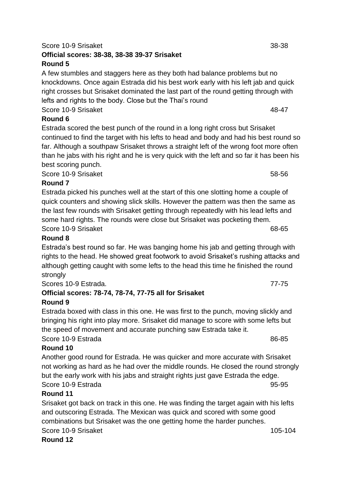Estrada scored the best punch of the round in a long right cross but Srisaket

Score 10-9 Srisaket 58-56

Estrada's best round so far. He was banging home his jab and getting through with rights to the head. He showed great footwork to avoid Srisaket's rushing attacks and although getting caught with some lefts to the head this time he finished the round strongly

Scores 10-9 Estrada. 77-75

# **Official scores: 78-74, 78-74, 77-75 all for Srisaket Round 9**

Estrada boxed with class in this one. He was first to the punch, moving slickly and bringing his right into play more. Srisaket did manage to score with some lefts but the speed of movement and accurate punching saw Estrada take it.

# Score 10-9 Estrada 86-85

# **Round 10**

Another good round for Estrada. He was quicker and more accurate with Srisaket not working as hard as he had over the middle rounds. He closed the round strongly but the early work with his jabs and straight rights just gave Estrada the edge. Score 10-9 Estrada 95-95

# **Round 11**

Srisaket got back on track in this one. He was finding the target again with his lefts and outscoring Estrada. The Mexican was quick and scored with some good combinations but Srisaket was the one getting home the harder punches. Score 10-9 Srisaket 105-104 **Round 12**

# Score 10-9 Srisaket 38-38 **Official scores: 38-38, 38-38 39-37 Srisaket Round 5**

A few stumbles and staggers here as they both had balance problems but no knockdowns. Once again Estrada did his best work early with his left jab and quick right crosses but Srisaket dominated the last part of the round getting through with lefts and rights to the body. Close but the Thai's round

continued to find the target with his lefts to head and body and had his best round so far. Although a southpaw Srisaket throws a straight left of the wrong foot more often than he jabs with his right and he is very quick with the left and so far it has been his

Score 10-9 Srisaket 48-47

# **Round 6**

Estrada picked his punches well at the start of this one slotting home a couple of quick counters and showing slick skills. However the pattern was then the same as the last few rounds with Srisaket getting through repeatedly with his lead lefts and some hard rights. The rounds were close but Srisaket was pocketing them.

Score 10-9 Srisaket 68-65

best scoring punch.

# **Round 8**

**Round 7**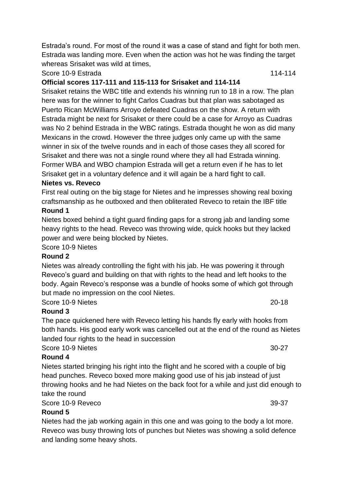Estrada's round. For most of the round it was a case of stand and fight for both men. Estrada was landing more. Even when the action was hot he was finding the target whereas Srisaket was wild at times,

#### Score 10-9 Estrada 114-114

### **Official scores 117-111 and 115-113 for Srisaket and 114-114**

Srisaket retains the WBC title and extends his winning run to 18 in a row. The plan here was for the winner to fight Carlos Cuadras but that plan was sabotaged as Puerto Rican McWilliams Arroyo defeated Cuadras on the show. A return with Estrada might be next for Srisaket or there could be a case for Arroyo as Cuadras was No 2 behind Estrada in the WBC ratings. Estrada thought he won as did many Mexicans in the crowd. However the three judges only came up with the same winner in six of the twelve rounds and in each of those cases they all scored for Srisaket and there was not a single round where they all had Estrada winning. Former WBA and WBO champion Estrada will get a return even if he has to let Srisaket get in a voluntary defence and it will again be a hard fight to call.

#### **Nietes vs. Reveco**

First real outing on the big stage for Nietes and he impresses showing real boxing craftsmanship as he outboxed and then obliterated Reveco to retain the IBF title

#### **Round 1**

Nietes boxed behind a tight guard finding gaps for a strong jab and landing some heavy rights to the head. Reveco was throwing wide, quick hooks but they lacked power and were being blocked by Nietes.

Score 10-9 Nietes

#### **Round 2**

Nietes was already controlling the fight with his jab. He was powering it through Reveco's guard and building on that with rights to the head and left hooks to the body. Again Reveco's response was a bundle of hooks some of which got through but made no impression on the cool Nietes.

Score 10-9 Nietes 20-18

# **Round 3**

The pace quickened here with Reveco letting his hands fly early with hooks from both hands. His good early work was cancelled out at the end of the round as Nietes landed four rights to the head in succession

Score 10-9 Nietes 30-27

#### **Round 4**

Nietes started bringing his right into the flight and he scored with a couple of big head punches. Reveco boxed more making good use of his jab instead of just throwing hooks and he had Nietes on the back foot for a while and just did enough to take the round

Score 10-9 Reveco 39-37

#### **Round 5**

Nietes had the jab working again in this one and was going to the body a lot more. Reveco was busy throwing lots of punches but Nietes was showing a solid defence and landing some heavy shots.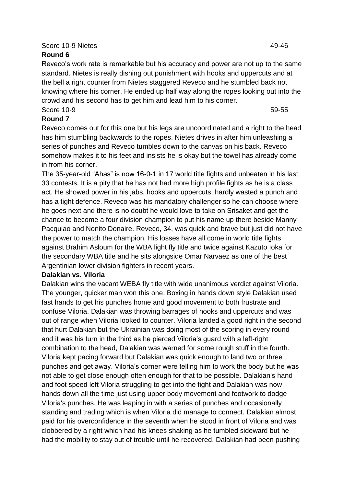# Score 10-9 Nietes 49-46

# **Round 6**

Reveco's work rate is remarkable but his accuracy and power are not up to the same standard. Nietes is really dishing out punishment with hooks and uppercuts and at the bell a right counter from Nietes staggered Reveco and he stumbled back not knowing where his corner. He ended up half way along the ropes looking out into the crowd and his second has to get him and lead him to his corner. Score 10-9 59-55

**Round 7**

Reveco comes out for this one but his legs are uncoordinated and a right to the head has him stumbling backwards to the ropes. Nietes drives in after him unleashing a series of punches and Reveco tumbles down to the canvas on his back. Reveco somehow makes it to his feet and insists he is okay but the towel has already come in from his corner.

The 35-year-old "Ahas" is now 16-0-1 in 17 world title fights and unbeaten in his last 33 contests. It is a pity that he has not had more high profile fights as he is a class act. He showed power in his jabs, hooks and uppercuts, hardly wasted a punch and has a tight defence. Reveco was his mandatory challenger so he can choose where he goes next and there is no doubt he would love to take on Srisaket and get the chance to become a four division champion to put his name up there beside Manny Pacquiao and Nonito Donaire. Reveco, 34, was quick and brave but just did not have the power to match the champion. His losses have all come in world title fights against Brahim Asloum for the WBA light fly title and twice against Kazuto Ioka for the secondary WBA title and he sits alongside Omar Narvaez as one of the best Argentinian lower division fighters in recent years.

# **Dalakian vs. Viloria**

Dalakian wins the vacant WEBA fly title with wide unanimous verdict against Viloria. The younger, quicker man won this one. Boxing in hands down style Dalakian used fast hands to get his punches home and good movement to both frustrate and confuse Viloria. Dalakian was throwing barrages of hooks and uppercuts and was out of range when Viloria looked to counter. Viloria landed a good right in the second that hurt Dalakian but the Ukrainian was doing most of the scoring in every round and it was his turn in the third as he pierced Viloria's guard with a left-right combination to the head, Dalakian was warned for some rough stuff in the fourth. Viloria kept pacing forward but Dalakian was quick enough to land two or three punches and get away. Viloria's corner were telling him to work the body but he was not able to get close enough often enough for that to be possible. Dalakian's hand and foot speed left Viloria struggling to get into the fight and Dalakian was now hands down all the time just using upper body movement and footwork to dodge Viloria's punches. He was leaping in with a series of punches and occasionally standing and trading which is when Viloria did manage to connect. Dalakian almost paid for his overconfidence in the seventh when he stood in front of Viloria and was clobbered by a right which had his knees shaking as he tumbled sideward but he had the mobility to stay out of trouble until he recovered, Dalakian had been pushing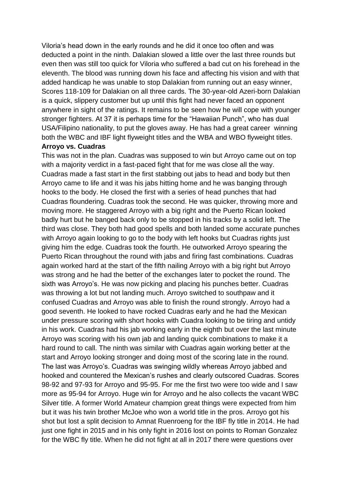Viloria's head down in the early rounds and he did it once too often and was deducted a point in the ninth. Dalakian slowed a little over the last three rounds but even then was still too quick for Viloria who suffered a bad cut on his forehead in the eleventh. The blood was running down his face and affecting his vision and with that added handicap he was unable to stop Dalakian from running out an easy winner, Scores 118-109 for Dalakian on all three cards. The 30-year-old Azeri-born Dalakian is a quick, slippery customer but up until this fight had never faced an opponent anywhere in sight of the ratings. It remains to be seen how he will cope with younger stronger fighters. At 37 it is perhaps time for the "Hawaiian Punch", who has dual USA/Filipino nationality, to put the gloves away. He has had a great career winning both the WBC and IBF light flyweight titles and the WBA and WBO flyweight titles. **Arroyo vs. Cuadras** 

# This was not in the plan. Cuadras was supposed to win but Arroyo came out on top with a majority verdict in a fast-paced fight that for me was close all the way. Cuadras made a fast start in the first stabbing out jabs to head and body but then Arroyo came to life and it was his jabs hitting home and he was banging through hooks to the body. He closed the first with a series of head punches that had Cuadras floundering. Cuadras took the second. He was quicker, throwing more and moving more. He staggered Arroyo with a big right and the Puerto Rican looked badly hurt but he banged back only to be stopped in his tracks by a solid left. The third was close. They both had good spells and both landed some accurate punches with Arroyo again looking to go to the body with left hooks but Cuadras rights just giving him the edge. Cuadras took the fourth. He outworked Arroyo spearing the Puerto Rican throughout the round with jabs and firing fast combinations. Cuadras again worked hard at the start of the fifth nailing Arroyo with a big right but Arroyo was strong and he had the better of the exchanges later to pocket the round. The sixth was Arroyo's. He was now picking and placing his punches better. Cuadras was throwing a lot but not landing much. Arroyo switched to southpaw and it confused Cuadras and Arroyo was able to finish the round strongly. Arroyo had a good seventh. He looked to have rocked Cuadras early and he had the Mexican under pressure scoring with short hooks with Cuadra looking to be tiring and untidy in his work. Cuadras had his jab working early in the eighth but over the last minute Arroyo was scoring with his own jab and landing quick combinations to make it a hard round to call. The ninth was similar with Cuadras again working better at the start and Arroyo looking stronger and doing most of the scoring late in the round. The last was Arroyo's. Cuadras was swinging wildly whereas Arroyo jabbed and hooked and countered the Mexican's rushes and clearly outscored Cuadras. Scores 98-92 and 97-93 for Arroyo and 95-95. For me the first two were too wide and I saw more as 95-94 for Arroyo. Huge win for Arroyo and he also collects the vacant WBC Silver title. A former World Amateur champion great things were expected from him but it was his twin brother McJoe who won a world title in the pros. Arroyo got his shot but lost a split decision to Amnat Ruenroeng for the IBF fly title in 2014. He had just one fight in 2015 and in his only fight in 2016 lost on points to Roman Gonzalez for the WBC fly title. When he did not fight at all in 2017 there were questions over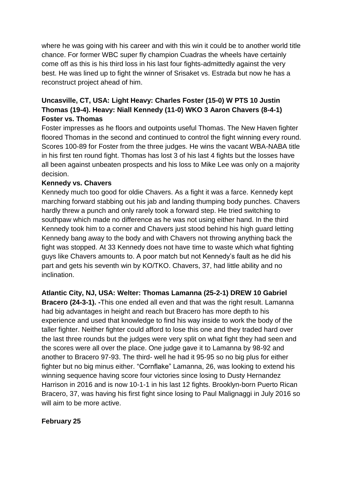where he was going with his career and with this win it could be to another world title chance. For former WBC super fly champion Cuadras the wheels have certainly come off as this is his third loss in his last four fights-admittedly against the very best. He was lined up to fight the winner of Srisaket vs. Estrada but now he has a reconstruct project ahead of him.

# **Uncasville, CT, USA: Light Heavy: Charles Foster (15-0) W PTS 10 Justin Thomas (19-4). Heavy: Niall Kennedy (11-0) WKO 3 Aaron Chavers (8-4-1) Foster vs. Thomas**

Foster impresses as he floors and outpoints useful Thomas. The New Haven fighter floored Thomas in the second and continued to control the fight winning every round. Scores 100-89 for Foster from the three judges. He wins the vacant WBA-NABA title in his first ten round fight. Thomas has lost 3 of his last 4 fights but the losses have all been against unbeaten prospects and his loss to Mike Lee was only on a majority decision.

# **Kennedy vs. Chavers**

Kennedy much too good for oldie Chavers. As a fight it was a farce. Kennedy kept marching forward stabbing out his jab and landing thumping body punches. Chavers hardly threw a punch and only rarely took a forward step. He tried switching to southpaw which made no difference as he was not using either hand. In the third Kennedy took him to a corner and Chavers just stood behind his high guard letting Kennedy bang away to the body and with Chavers not throwing anything back the fight was stopped. At 33 Kennedy does not have time to waste which what fighting guys like Chavers amounts to. A poor match but not Kennedy's fault as he did his part and gets his seventh win by KO/TKO. Chavers, 37, had little ability and no inclination.

**Atlantic City, NJ, USA: Welter: Thomas Lamanna (25-2-1) DREW 10 Gabriel** 

**Bracero (24-3-1). -**This one ended all even and that was the right result. Lamanna had big advantages in height and reach but Bracero has more depth to his experience and used that knowledge to find his way inside to work the body of the taller fighter. Neither fighter could afford to lose this one and they traded hard over the last three rounds but the judges were very split on what fight they had seen and the scores were all over the place. One judge gave it to Lamanna by 98-92 and another to Bracero 97-93. The third- well he had it 95-95 so no big plus for either fighter but no big minus either. "Cornflake" Lamanna, 26, was looking to extend his winning sequence having score four victories since losing to Dusty Hernandez Harrison in 2016 and is now 10-1-1 in his last 12 fights. Brooklyn-born Puerto Rican Bracero, 37, was having his first fight since losing to Paul Malignaggi in July 2016 so will aim to be more active.

# **February 25**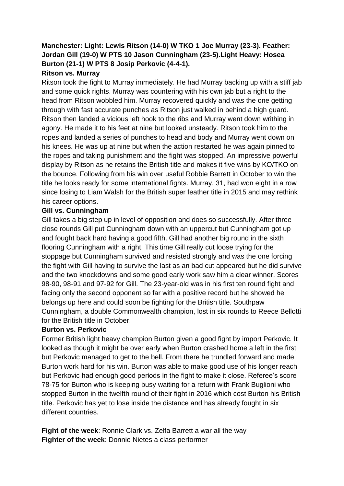# **Manchester: Light: Lewis Ritson (14-0) W TKO 1 Joe Murray (23-3). Feather: Jordan Gill (19-0) W PTS 10 Jason Cunningham (23-5).Light Heavy: Hosea Burton (21-1) W PTS 8 Josip Perkovic (4-4-1).**

# **Ritson vs. Murray**

Ritson took the fight to Murray immediately. He had Murray backing up with a stiff jab and some quick rights. Murray was countering with his own jab but a right to the head from Ritson wobbled him. Murray recovered quickly and was the one getting through with fast accurate punches as Ritson just walked in behind a high guard. Ritson then landed a vicious left hook to the ribs and Murray went down writhing in agony. He made it to his feet at nine but looked unsteady. Ritson took him to the ropes and landed a series of punches to head and body and Murray went down on his knees. He was up at nine but when the action restarted he was again pinned to the ropes and taking punishment and the fight was stopped. An impressive powerful display by Ritson as he retains the British title and makes it five wins by KO/TKO on the bounce. Following from his win over useful Robbie Barrett in October to win the title he looks ready for some international fights. Murray, 31, had won eight in a row since losing to Liam Walsh for the British super feather title in 2015 and may rethink his career options.

### **Gill vs. Cunningham**

Gill takes a big step up in level of opposition and does so successfully. After three close rounds Gill put Cunningham down with an uppercut but Cunningham got up and fought back hard having a good fifth. Gill had another big round in the sixth flooring Cunningham with a right. This time Gill really cut loose trying for the stoppage but Cunningham survived and resisted strongly and was the one forcing the fight with Gill having to survive the last as an bad cut appeared but he did survive and the two knockdowns and some good early work saw him a clear winner. Scores 98-90, 98-91 and 97-92 for Gill. The 23-year-old was in his first ten round fight and facing only the second opponent so far with a positive record but he showed he belongs up here and could soon be fighting for the British title. Southpaw Cunningham, a double Commonwealth champion, lost in six rounds to Reece Bellotti for the British title in October.

#### **Burton vs. Perkovic**

Former British light heavy champion Burton given a good fight by import Perkovic. It looked as though it might be over early when Burton crashed home a left in the first but Perkovic managed to get to the bell. From there he trundled forward and made Burton work hard for his win. Burton was able to make good use of his longer reach but Perkovic had enough good periods in the fight to make it close. Referee's score 78-75 for Burton who is keeping busy waiting for a return with Frank Buglioni who stopped Burton in the twelfth round of their fight in 2016 which cost Burton his British title. Perkovic has yet to lose inside the distance and has already fought in six different countries.

**Fight of the week**: Ronnie Clark vs. Zelfa Barrett a war all the way **Fighter of the week**: Donnie Nietes a class performer